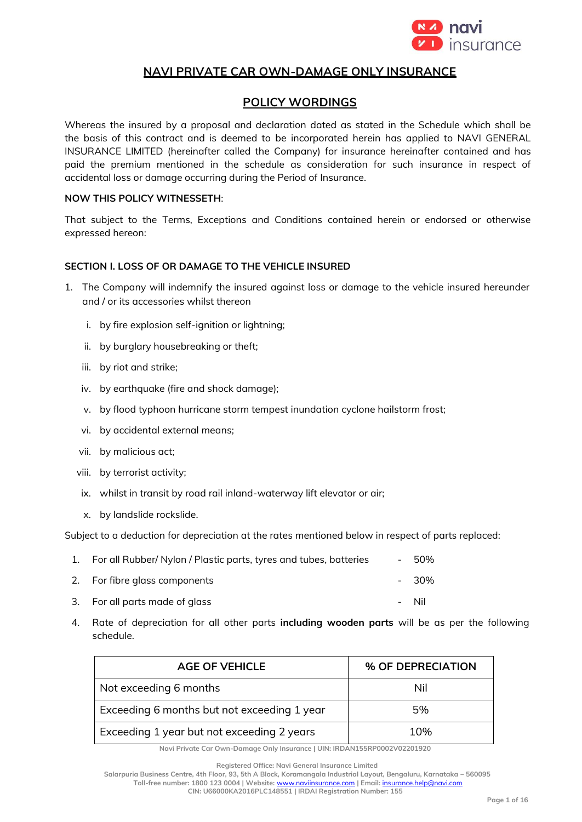

# **NAVI PRIVATE CAR OWN-DAMAGE ONLY INSURANCE**

# **POLICY WORDINGS**

Whereas the insured by a proposal and declaration dated as stated in the Schedule which shall be the basis of this contract and is deemed to be incorporated herein has applied to NAVI GENERAL INSURANCE LIMITED (hereinafter called the Company) for insurance hereinafter contained and has paid the premium mentioned in the schedule as consideration for such insurance in respect of accidental loss or damage occurring during the Period of Insurance.

## **NOW THIS POLICY WITNESSETH**:

That subject to the Terms, Exceptions and Conditions contained herein or endorsed or otherwise expressed hereon:

## **SECTION I. LOSS OF OR DAMAGE TO THE VEHICLE INSURED**

- 1. The Company will indemnify the insured against loss or damage to the vehicle insured hereunder and / or its accessories whilst thereon
	- i. by fire explosion self-ignition or lightning;
	- ii. by burglary housebreaking or theft;
	- iii. by riot and strike;
	- iv. by earthquake (fire and shock damage);
	- v. by flood typhoon hurricane storm tempest inundation cyclone hailstorm frost;
	- vi. by accidental external means;
	- vii. by malicious act;
	- viii. by terrorist activity;
	- ix. whilst in transit by road rail inland-waterway lift elevator or air;
	- x. by landslide rockslide.

Subject to a deduction for depreciation at the rates mentioned below in respect of parts replaced:

- 1. For all Rubber/ Nylon / Plastic parts, tyres and tubes, batteries 50%
- 2. For fibre glass components **and the set of the set of the set of the set of the set of the set of the set of the set of the set of the set of the set of the set of the set of the set of the set of the set of the set of**
- 3. For all parts made of glass and the set of the set of the set of the set of the Nil
- 4. Rate of depreciation for all other parts **including wooden parts** will be as per the following schedule.

| <b>AGE OF VEHICLE</b>                       | % OF DEPRECIATION |
|---------------------------------------------|-------------------|
| Not exceeding 6 months                      | Nil               |
| Exceeding 6 months but not exceeding 1 year | 5%                |
| Exceeding 1 year but not exceeding 2 years  | 10%               |

**Navi Private Car Own-Damage Only Insurance | UIN: IRDAN155RP0002V02201920**

**Registered Office: Navi General Insurance Limited**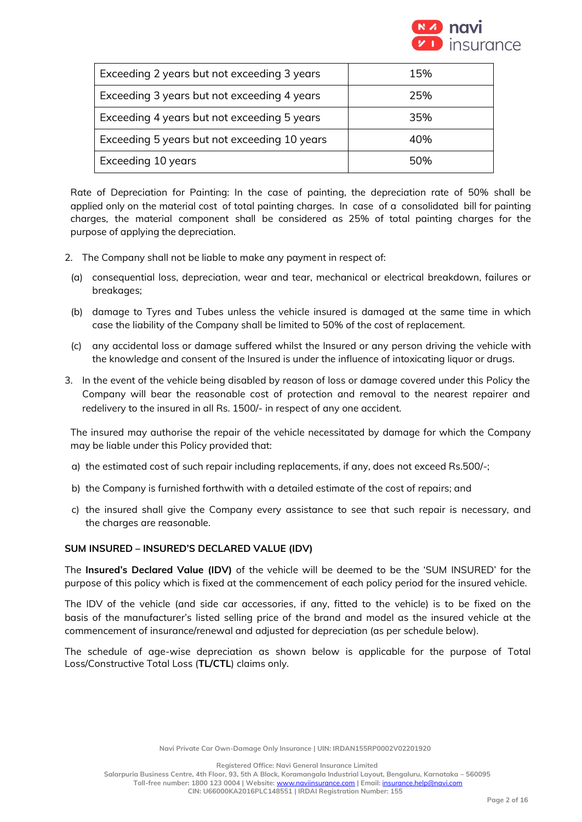

| Exceeding 2 years but not exceeding 3 years  | 15% |
|----------------------------------------------|-----|
| Exceeding 3 years but not exceeding 4 years  | 25% |
| Exceeding 4 years but not exceeding 5 years  | 35% |
| Exceeding 5 years but not exceeding 10 years | 40% |
| Exceeding 10 years                           | 50% |

Rate of Depreciation for Painting: In the case of painting, the depreciation rate of 50% shall be applied only on the material cost of total painting charges. In case of a consolidated bill for painting charges, the material component shall be considered as 25% of total painting charges for the purpose of applying the depreciation.

- 2. The Company shall not be liable to make any payment in respect of:
	- (a) consequential loss, depreciation, wear and tear, mechanical or electrical breakdown, failures or breakages;
	- (b) damage to Tyres and Tubes unless the vehicle insured is damaged at the same time in which case the liability of the Company shall be limited to 50% of the cost of replacement.
- (c) any accidental loss or damage suffered whilst the Insured or any person driving the vehicle with the knowledge and consent of the Insured is under the influence of intoxicating liquor or drugs.
- 3. In the event of the vehicle being disabled by reason of loss or damage covered under this Policy the Company will bear the reasonable cost of protection and removal to the nearest repairer and redelivery to the insured in all Rs. 1500/- in respect of any one accident.

The insured may authorise the repair of the vehicle necessitated by damage for which the Company may be liable under this Policy provided that:

- a) the estimated cost of such repair including replacements, if any, does not exceed Rs.500/-;
- b) the Company is furnished forthwith with a detailed estimate of the cost of repairs; and
- c) the insured shall give the Company every assistance to see that such repair is necessary, and the charges are reasonable.

#### **SUM INSURED – INSURED'S DECLARED VALUE (IDV)**

The **Insured's Declared Value (IDV)** of the vehicle will be deemed to be the 'SUM INSURED' for the purpose of this policy which is fixed at the commencement of each policy period for the insured vehicle.

The IDV of the vehicle (and side car accessories, if any, fitted to the vehicle) is to be fixed on the basis of the manufacturer's listed selling price of the brand and model as the insured vehicle at the commencement of insurance/renewal and adjusted for depreciation (as per schedule below).

The schedule of age-wise depreciation as shown below is applicable for the purpose of Total Loss/Constructive Total Loss (**TL/CTL**) claims only.

**Registered Office: Navi General Insurance Limited**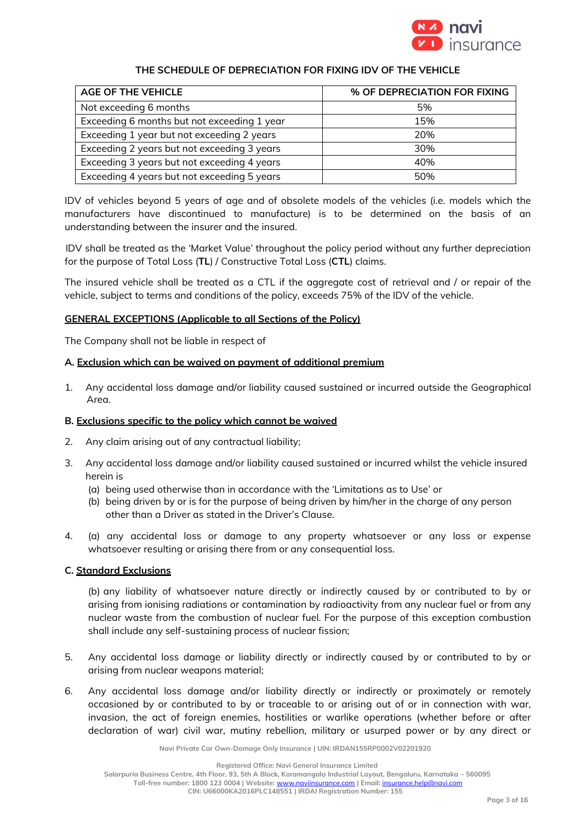

## **THE SCHEDULE OF DEPRECIATION FOR FIXING IDV OF THE VEHICLE**

| <b>AGE OF THE VEHICLE</b>                   | % OF DEPRECIATION FOR FIXING |
|---------------------------------------------|------------------------------|
| Not exceeding 6 months                      | 5%                           |
| Exceeding 6 months but not exceeding 1 year | 15%                          |
| Exceeding 1 year but not exceeding 2 years  | 20%                          |
| Exceeding 2 years but not exceeding 3 years | 30%                          |
| Exceeding 3 years but not exceeding 4 years | 40%                          |
| Exceeding 4 years but not exceeding 5 years | 50%                          |

IDV of vehicles beyond 5 years of age and of obsolete models of the vehicles (i.e. models which the manufacturers have discontinued to manufacture) is to be determined on the basis of an understanding between the insurer and the insured.

IDV shall be treated as the 'Market Value' throughout the policy period without any further depreciation for the purpose of Total Loss (**TL**) / Constructive Total Loss (**CTL**) claims.

The insured vehicle shall be treated as a CTL if the aggregate cost of retrieval and / or repair of the vehicle, subject to terms and conditions of the policy, exceeds 75% of the IDV of the vehicle.

## **GENERAL EXCEPTIONS (Applicable to all Sections of the Policy)**

The Company shall not be liable in respect of

## **A. Exclusion which can be waived on payment of additional premium**

1. Any accidental loss damage and/or liability caused sustained or incurred outside the Geographical Area.

#### **B. Exclusions specific to the policy which cannot be waived**

- 2. Any claim arising out of any contractual liability;
- 3. Any accidental loss damage and/or liability caused sustained or incurred whilst the vehicle insured herein is
	- (a) being used otherwise than in accordance with the 'Limitations as to Use' or
	- (b) being driven by or is for the purpose of being driven by him/her in the charge of any person other than a Driver as stated in the Driver's Clause.
- 4. (a) any accidental loss or damage to any property whatsoever or any loss or expense whatsoever resulting or arising there from or any consequential loss.

## **C. Standard Exclusions**

(b) any liability of whatsoever nature directly or indirectly caused by or contributed to by or arising from ionising radiations or contamination by radioactivity from any nuclear fuel or from any nuclear waste from the combustion of nuclear fuel. For the purpose of this exception combustion shall include any self-sustaining process of nuclear fission;

- 5. Any accidental loss damage or liability directly or indirectly caused by or contributed to by or arising from nuclear weapons material;
- 6. Any accidental loss damage and/or liability directly or indirectly or proximately or remotely occasioned by or contributed to by or traceable to or arising out of or in connection with war, invasion, the act of foreign enemies, hostilities or warlike operations (whether before or after declaration of war) civil war, mutiny rebellion, military or usurped power or by any direct or

**Navi Private Car Own-Damage Only Insurance | UIN: IRDAN155RP0002V02201920**

**Registered Office: Navi General Insurance Limited**

**Salarpuria Business Centre, 4th Floor, 93, 5th A Block, Koramangala Industrial Layout, Bengaluru, Karnataka – 560095**

**Toll-free number: 1800 123 0004 | Website:** [www.naviinsurance.com](http://www.naviinsurance.com/) **| Email:** [insurance.help@navi.com](mailto:insurance.help@navi.com)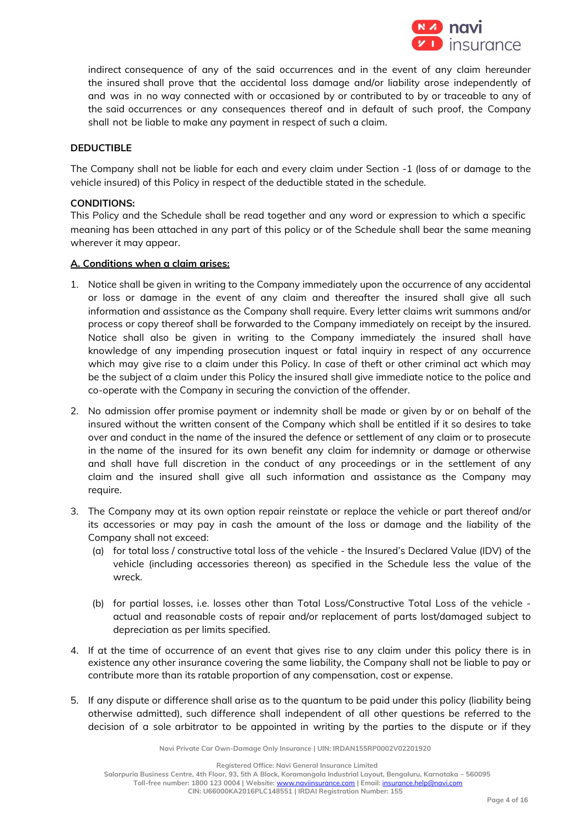

indirect consequence of any of the said occurrences and in the event of any claim hereunder the insured shall prove that the accidental loss damage and/or liability arose independently of and was in no way connected with or occasioned by or contributed to by or traceable to any of the said occurrences or any consequences thereof and in default of such proof, the Company shall not be liable to make any payment in respect of such a claim.

## **DEDUCTIBLE**

The Company shall not be liable for each and every claim under Section -1 (loss of or damage to the vehicle insured) of this Policy in respect of the deductible stated in the schedule.

## **CONDITIONS:**

This Policy and the Schedule shall be read together and any word or expression to which a specific meaning has been attached in any part of this policy or of the Schedule shall bear the same meaning wherever it may appear.

## **A. Conditions when a claim arises:**

- 1. Notice shall be given in writing to the Company immediately upon the occurrence of any accidental or loss or damage in the event of any claim and thereafter the insured shall give all such information and assistance as the Company shall require. Every letter claims writ summons and/or process or copy thereof shall be forwarded to the Company immediately on receipt by the insured. Notice shall also be given in writing to the Company immediately the insured shall have knowledge of any impending prosecution inquest or fatal inquiry in respect of any occurrence which may give rise to a claim under this Policy. In case of theft or other criminal act which may be the subject of a claim under this Policy the insured shall give immediate notice to the police and co-operate with the Company in securing the conviction of the offender.
- 2. No admission offer promise payment or indemnity shall be made or given by or on behalf of the insured without the written consent of the Company which shall be entitled if it so desires to take over and conduct in the name of the insured the defence or settlement of any claim or to prosecute in the name of the insured for its own benefit any claim for indemnity or damage or otherwise and shall have full discretion in the conduct of any proceedings or in the settlement of any claim and the insured shall give all such information and assistance as the Company may require.
- 3. The Company may at its own option repair reinstate or replace the vehicle or part thereof and/or its accessories or may pay in cash the amount of the loss or damage and the liability of the Company shall not exceed:
	- (a) for total loss / constructive total loss of the vehicle the Insured's Declared Value (IDV) of the vehicle (including accessories thereon) as specified in the Schedule less the value of the wreck.
	- (b) for partial losses, i.e. losses other than Total Loss/Constructive Total Loss of the vehicle actual and reasonable costs of repair and/or replacement of parts lost/damaged subject to depreciation as per limits specified.
- 4. If at the time of occurrence of an event that gives rise to any claim under this policy there is in existence any other insurance covering the same liability, the Company shall not be liable to pay or contribute more than its ratable proportion of any compensation, cost or expense.
- 5. If any dispute or difference shall arise as to the quantum to be paid under this policy (liability being otherwise admitted), such difference shall independent of all other questions be referred to the decision of a sole arbitrator to be appointed in writing by the parties to the dispute or if they

**Navi Private Car Own-Damage Only Insurance | UIN: IRDAN155RP0002V02201920**

**Registered Office: Navi General Insurance Limited**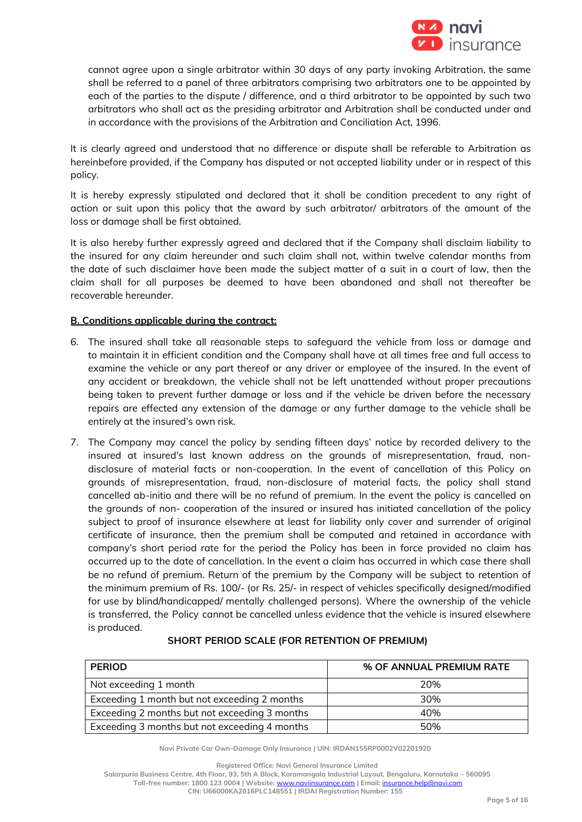

cannot agree upon a single arbitrator within 30 days of any party invoking Arbitration, the same shall be referred to a panel of three arbitrators comprising two arbitrators one to be appointed by each of the parties to the dispute / difference, and a third arbitrator to be appointed by such two arbitrators who shall act as the presiding arbitrator and Arbitration shall be conducted under and in accordance with the provisions of the Arbitration and Conciliation Act, 1996.

It is clearly agreed and understood that no difference or dispute shall be referable to Arbitration as hereinbefore provided, if the Company has disputed or not accepted liability under or in respect of this policy.

It is hereby expressly stipulated and declared that it shall be condition precedent to any right of action or suit upon this policy that the award by such arbitrator/ arbitrators of the amount of the loss or damage shall be first obtained.

It is also hereby further expressly agreed and declared that if the Company shall disclaim liability to the insured for any claim hereunder and such claim shall not, within twelve calendar months from the date of such disclaimer have been made the subject matter of a suit in a court of law, then the claim shall for all purposes be deemed to have been abandoned and shall not thereafter be recoverable hereunder.

## **B. Conditions applicable during the contract:**

- 6. The insured shall take all reasonable steps to safeguard the vehicle from loss or damage and to maintain it in efficient condition and the Company shall have at all times free and full access to examine the vehicle or any part thereof or any driver or employee of the insured. In the event of any accident or breakdown, the vehicle shall not be left unattended without proper precautions being taken to prevent further damage or loss and if the vehicle be driven before the necessary repairs are effected any extension of the damage or any further damage to the vehicle shall be entirely at the insured's own risk.
- 7. The Company may cancel the policy by sending fifteen days' notice by recorded delivery to the insured at insured's last known address on the grounds of misrepresentation, fraud, nondisclosure of material facts or non-cooperation. In the event of cancellation of this Policy on grounds of misrepresentation, fraud, non-disclosure of material facts, the policy shall stand cancelled ab-initio and there will be no refund of premium. In the event the policy is cancelled on the grounds of non- cooperation of the insured or insured has initiated cancellation of the policy subject to proof of insurance elsewhere at least for liability only cover and surrender of original certificate of insurance, then the premium shall be computed and retained in accordance with company's short period rate for the period the Policy has been in force provided no claim has occurred up to the date of cancellation. In the event a claim has occurred in which case there shall be no refund of premium. Return of the premium by the Company will be subject to retention of the minimum premium of Rs. 100/- (or Rs. 25/- in respect of vehicles specifically designed/modified for use by blind/handicapped/ mentally challenged persons). Where the ownership of the vehicle is transferred, the Policy cannot be cancelled unless evidence that the vehicle is insured elsewhere is produced.

| <b>PERIOD</b>                                 | % OF ANNUAL PREMIUM RATE |
|-----------------------------------------------|--------------------------|
| Not exceeding 1 month                         | 20%                      |
| Exceeding 1 month but not exceeding 2 months  | 30%                      |
| Exceeding 2 months but not exceeding 3 months | 40%                      |
| Exceeding 3 months but not exceeding 4 months | 50%                      |

#### **SHORT PERIOD SCALE (FOR RETENTION OF PREMIUM)**

**Navi Private Car Own-Damage Only Insurance | UIN: IRDAN155RP0002V02201920**

**Registered Office: Navi General Insurance Limited**

**Salarpuria Business Centre, 4th Floor, 93, 5th A Block, Koramangala Industrial Layout, Bengaluru, Karnataka – 560095**

**Toll-free number: 1800 123 0004 | Website:** [www.naviinsurance.com](http://www.naviinsurance.com/) **| Email:** [insurance.help@navi.com](mailto:insurance.help@navi.com)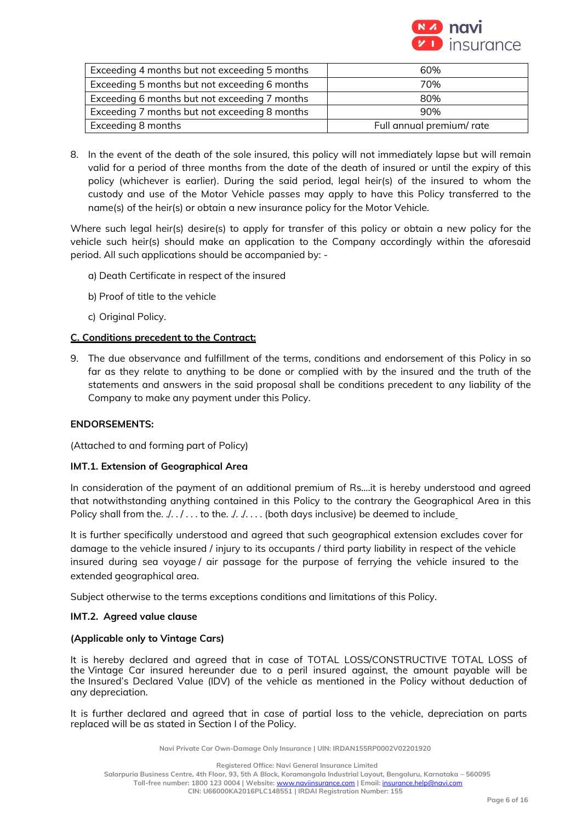

| Exceeding 4 months but not exceeding 5 months | 60%                       |
|-----------------------------------------------|---------------------------|
| Exceeding 5 months but not exceeding 6 months | 70%                       |
| Exceeding 6 months but not exceeding 7 months | 80%                       |
| Exceeding 7 months but not exceeding 8 months | 90%                       |
| Exceeding 8 months                            | Full annual premium/ rate |

8. In the event of the death of the sole insured, this policy will not immediately lapse but will remain valid for a period of three months from the date of the death of insured or until the expiry of this policy (whichever is earlier). During the said period, legal heir(s) of the insured to whom the custody and use of the Motor Vehicle passes may apply to have this Policy transferred to the name(s) of the heir(s) or obtain a new insurance policy for the Motor Vehicle.

Where such legal heir(s) desire(s) to apply for transfer of this policy or obtain a new policy for the vehicle such heir(s) should make an application to the Company accordingly within the aforesaid period. All such applications should be accompanied by: -

- a) Death Certificate in respect of the insured
- b) Proof of title to the vehicle
- c) Original Policy.

## **C. Conditions precedent to the Contract:**

9. The due observance and fulfillment of the terms, conditions and endorsement of this Policy in so far as they relate to anything to be done or complied with by the insured and the truth of the statements and answers in the said proposal shall be conditions precedent to any liability of the Company to make any payment under this Policy.

#### **ENDORSEMENTS:**

(Attached to and forming part of Policy)

#### **IMT.1. Extension of Geographical Area**

In consideration of the payment of an additional premium of Rs….it is hereby understood and agreed that notwithstanding anything contained in this Policy to the contrary the Geographical Area in this Policy shall from the.  $\ldots$  ... to the.  $\ldots$  ... (both days inclusive) be deemed to include

It is further specifically understood and agreed that such geographical extension excludes cover for damage to the vehicle insured / injury to its occupants / third party liability in respect of the vehicle insured during sea voyage / air passage for the purpose of ferrying the vehicle insured to the extended geographical area.

Subject otherwise to the terms exceptions conditions and limitations of this Policy.

#### **IMT.2. Agreed value clause**

#### **(Applicable only to Vintage Cars)**

It is hereby declared and agreed that in case of TOTAL LOSS/CONSTRUCTIVE TOTAL LOSS of the Vintage Car insured hereunder due to a peril insured against, the amount payable will be the Insured's Declared Value (IDV) of the vehicle as mentioned in the Policy without deduction of any depreciation.

It is further declared and agreed that in case of partial loss to the vehicle, depreciation on parts replaced will be as stated in Section I of the Policy.

**Navi Private Car Own-Damage Only Insurance | UIN: IRDAN155RP0002V02201920**

**Registered Office: Navi General Insurance Limited**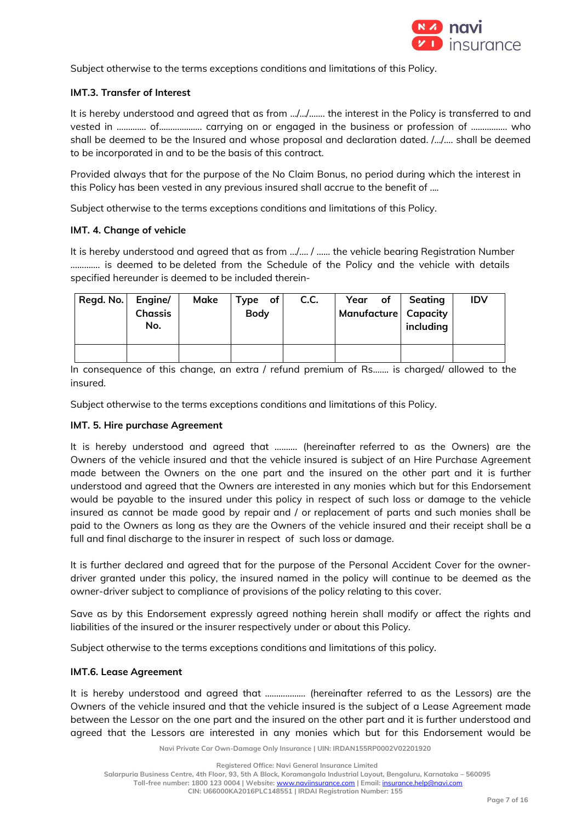

Subject otherwise to the terms exceptions conditions and limitations of this Policy.

## **IMT.3. Transfer of Interest**

It is hereby understood and agreed that as from …/…/……. the interest in the Policy is transferred to and vested in ……….... of………………. carrying on or engaged in the business or profession of ……………. who shall be deemed to be the Insured and whose proposal and declaration dated. /…/…. shall be deemed to be incorporated in and to be the basis of this contract.

Provided always that for the purpose of the No Claim Bonus, no period during which the interest in this Policy has been vested in any previous insured shall accrue to the benefit of ....

Subject otherwise to the terms exceptions conditions and limitations of this Policy.

## **IMT. 4. Change of vehicle**

It is hereby understood and agreed that as from …/…. / …... the vehicle bearing Registration Number …………. is deemed to be deleted from the Schedule of the Policy and the vehicle with details specified hereunder is deemed to be included therein-

| Regd. No. | Engine/<br><b>Chassis</b><br>No. | Make | $Type$ of<br><b>Body</b> | C.C. | Year of<br>Manufacture   Capacity | Seating<br>including | <b>IDV</b> |
|-----------|----------------------------------|------|--------------------------|------|-----------------------------------|----------------------|------------|
|           |                                  |      |                          |      |                                   |                      |            |

In consequence of this change, an extra / refund premium of Rs....... is charged/ allowed to the insured.

Subject otherwise to the terms exceptions conditions and limitations of this Policy.

## **IMT. 5. Hire purchase Agreement**

It is hereby understood and agreed that ………. (hereinafter referred to as the Owners) are the Owners of the vehicle insured and that the vehicle insured is subject of an Hire Purchase Agreement made between the Owners on the one part and the insured on the other part and it is further understood and agreed that the Owners are interested in any monies which but for this Endorsement would be payable to the insured under this policy in respect of such loss or damage to the vehicle insured as cannot be made good by repair and / or replacement of parts and such monies shall be paid to the Owners as long as they are the Owners of the vehicle insured and their receipt shall be a full and final discharge to the insurer in respect of such loss or damage.

It is further declared and agreed that for the purpose of the Personal Accident Cover for the ownerdriver granted under this policy, the insured named in the policy will continue to be deemed as the owner-driver subject to compliance of provisions of the policy relating to this cover.

Save as by this Endorsement expressly agreed nothing herein shall modify or affect the rights and liabilities of the insured or the insurer respectively under or about this Policy.

Subject otherwise to the terms exceptions conditions and limitations of this policy.

#### **IMT.6. Lease Agreement**

It is hereby understood and agreed that ……………… (hereinafter referred to as the Lessors) are the Owners of the vehicle insured and that the vehicle insured is the subject of a Lease Agreement made between the Lessor on the one part and the insured on the other part and it is further understood and agreed that the Lessors are interested in any monies which but for this Endorsement would be

**Navi Private Car Own-Damage Only Insurance | UIN: IRDAN155RP0002V02201920**

**Registered Office: Navi General Insurance Limited**

**Toll-free number: 1800 123 0004 | Website:** [www.naviinsurance.com](http://www.naviinsurance.com/) **| Email:** [insurance.help@navi.com](mailto:insurance.help@navi.com)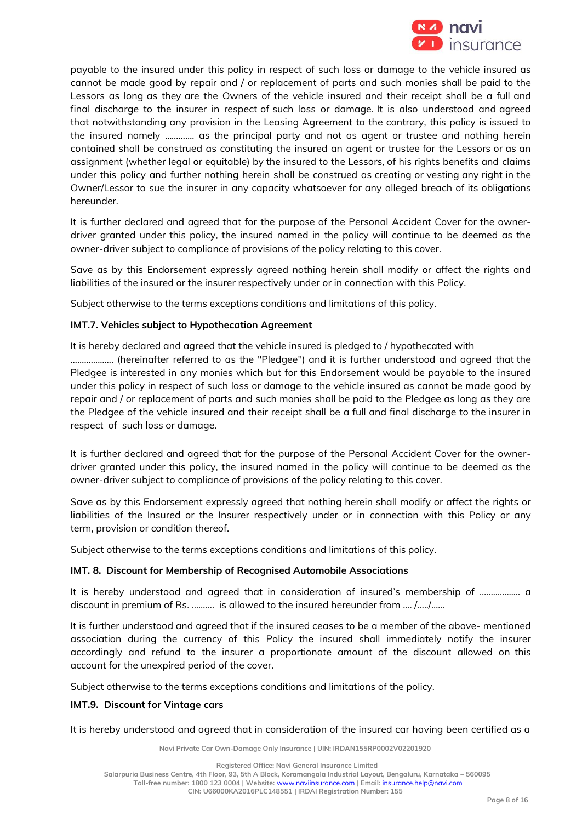

payable to the insured under this policy in respect of such loss or damage to the vehicle insured as cannot be made good by repair and / or replacement of parts and such monies shall be paid to the Lessors as long as they are the Owners of the vehicle insured and their receipt shall be a full and final discharge to the insurer in respect of such loss or damage. It is also understood and agreed that notwithstanding any provision in the Leasing Agreement to the contrary, this policy is issued to the insured namely …………. as the principal party and not as agent or trustee and nothing herein contained shall be construed as constituting the insured an agent or trustee for the Lessors or as an assignment (whether legal or equitable) by the insured to the Lessors, of his rights benefits and claims under this policy and further nothing herein shall be construed as creating or vesting any right in the Owner/Lessor to sue the insurer in any capacity whatsoever for any alleged breach of its obligations hereunder.

It is further declared and agreed that for the purpose of the Personal Accident Cover for the ownerdriver granted under this policy, the insured named in the policy will continue to be deemed as the owner-driver subject to compliance of provisions of the policy relating to this cover.

Save as by this Endorsement expressly agreed nothing herein shall modify or affect the rights and liabilities of the insured or the insurer respectively under or in connection with this Policy.

Subject otherwise to the terms exceptions conditions and limitations of this policy.

## **IMT.7. Vehicles subject to Hypothecation Agreement**

It is hereby declared and agreed that the vehicle insured is pledged to / hypothecated with

………………. (hereinafter referred to as the "Pledgee") and it is further understood and agreed that the Pledgee is interested in any monies which but for this Endorsement would be payable to the insured under this policy in respect of such loss or damage to the vehicle insured as cannot be made good by repair and / or replacement of parts and such monies shall be paid to the Pledgee as long as they are the Pledgee of the vehicle insured and their receipt shall be a full and final discharge to the insurer in respect of such loss or damage.

It is further declared and agreed that for the purpose of the Personal Accident Cover for the ownerdriver granted under this policy, the insured named in the policy will continue to be deemed as the owner-driver subject to compliance of provisions of the policy relating to this cover.

Save as by this Endorsement expressly agreed that nothing herein shall modify or affect the rights or liabilities of the Insured or the Insurer respectively under or in connection with this Policy or any term, provision or condition thereof.

Subject otherwise to the terms exceptions conditions and limitations of this policy.

#### **IMT. 8. Discount for Membership of Recognised Automobile Associations**

It is hereby understood and agreed that in consideration of insured's membership of ……………… a discount in premium of Rs. ………. is allowed to the insured hereunder from …. /…../…...

It is further understood and agreed that if the insured ceases to be a member of the above- mentioned association during the currency of this Policy the insured shall immediately notify the insurer accordingly and refund to the insurer a proportionate amount of the discount allowed on this account for the unexpired period of the cover.

Subject otherwise to the terms exceptions conditions and limitations of the policy.

## **IMT.9. Discount for Vintage cars**

It is hereby understood and agreed that in consideration of the insured car having been certified as a

**Navi Private Car Own-Damage Only Insurance | UIN: IRDAN155RP0002V02201920**

**Registered Office: Navi General Insurance Limited**

**Salarpuria Business Centre, 4th Floor, 93, 5th A Block, Koramangala Industrial Layout, Bengaluru, Karnataka – 560095**

**Toll-free number: 1800 123 0004 | Website:** [www.naviinsurance.com](http://www.naviinsurance.com/) **| Email:** [insurance.help@navi.com](mailto:insurance.help@navi.com)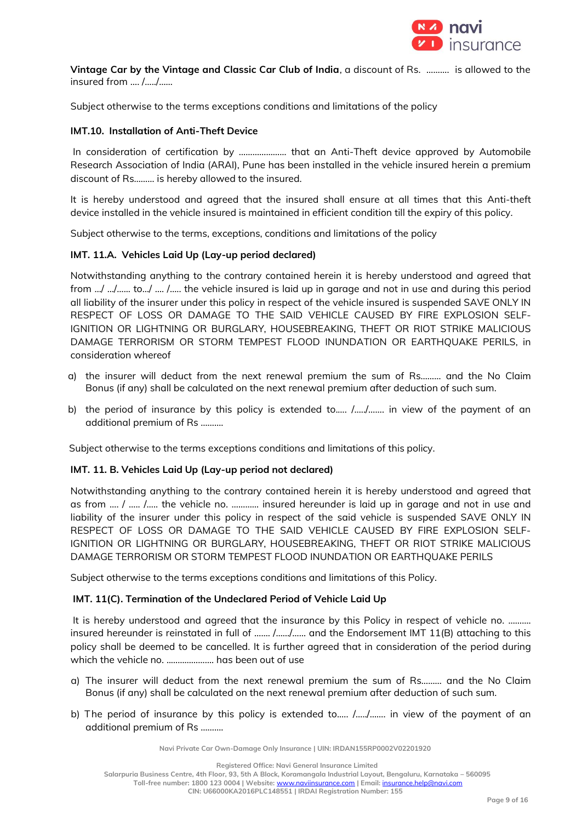

**Vintage Car by the Vintage and Classic Car Club of India**, a discount of Rs. ………. is allowed to the insured from …. /…../……

Subject otherwise to the terms exceptions conditions and limitations of the policy

## **IMT.10. Installation of Anti-Theft Device**

In consideration of certification by ...................... that an Anti-Theft device approved by Automobile Research Association of India (ARAI), Pune has been installed in the vehicle insured herein a premium discount of Rs……… is hereby allowed to the insured.

It is hereby understood and agreed that the insured shall ensure at all times that this Anti-theft device installed in the vehicle insured is maintained in efficient condition till the expiry of this policy.

Subject otherwise to the terms, exceptions, conditions and limitations of the policy

## **IMT. 11.A. Vehicles Laid Up (Lay-up period declared)**

Notwithstanding anything to the contrary contained herein it is hereby understood and agreed that from …/ …/…... to…/ …. /….. the vehicle insured is laid up in garage and not in use and during this period all liability of the insurer under this policy in respect of the vehicle insured is suspended SAVE ONLY IN RESPECT OF LOSS OR DAMAGE TO THE SAID VEHICLE CAUSED BY FIRE EXPLOSION SELF-IGNITION OR LIGHTNING OR BURGLARY, HOUSEBREAKING, THEFT OR RIOT STRIKE MALICIOUS DAMAGE TERRORISM OR STORM TEMPEST FLOOD INUNDATION OR EARTHQUAKE PERILS, in consideration whereof

- a) the insurer will deduct from the next renewal premium the sum of Rs……… and the No Claim Bonus (if any) shall be calculated on the next renewal premium after deduction of such sum.
- b) the period of insurance by this policy is extended to.…. /…../……. in view of the payment of an additional premium of Rs ……….

Subject otherwise to the terms exceptions conditions and limitations of this policy.

#### **IMT. 11. B. Vehicles Laid Up (Lay-up period not declared)**

Notwithstanding anything to the contrary contained herein it is hereby understood and agreed that as from …. / ….. /….. the vehicle no. ………… insured hereunder is laid up in garage and not in use and liability of the insurer under this policy in respect of the said vehicle is suspended SAVE ONLY IN RESPECT OF LOSS OR DAMAGE TO THE SAID VEHICLE CAUSED BY FIRE EXPLOSION SELF-IGNITION OR LIGHTNING OR BURGLARY, HOUSEBREAKING, THEFT OR RIOT STRIKE MALICIOUS DAMAGE TERRORISM OR STORM TEMPEST FLOOD INUNDATION OR EARTHQUAKE PERILS

Subject otherwise to the terms exceptions conditions and limitations of this Policy.

#### **IMT. 11(C). Termination of the Undeclared Period of Vehicle Laid Up**

It is hereby understood and agreed that the insurance by this Policy in respect of vehicle no. .......... insured hereunder is reinstated in full of ……. /……/…… and the Endorsement IMT 11(B) attaching to this policy shall be deemed to be cancelled. It is further agreed that in consideration of the period during which the vehicle no. ....................... has been out of use

- a) The insurer will deduct from the next renewal premium the sum of Rs……… and the No Claim Bonus (if any) shall be calculated on the next renewal premium after deduction of such sum.
- b) The period of insurance by this policy is extended to..... /...../....... in view of the payment of an additional premium of Rs ……….

**Navi Private Car Own-Damage Only Insurance | UIN: IRDAN155RP0002V02201920**

**Registered Office: Navi General Insurance Limited**

**Salarpuria Business Centre, 4th Floor, 93, 5th A Block, Koramangala Industrial Layout, Bengaluru, Karnataka – 560095 Toll-free number: 1800 123 0004 | Website:** [www.naviinsurance.com](http://www.naviinsurance.com/) **| Email:** [insurance.help@navi.com](mailto:insurance.help@navi.com)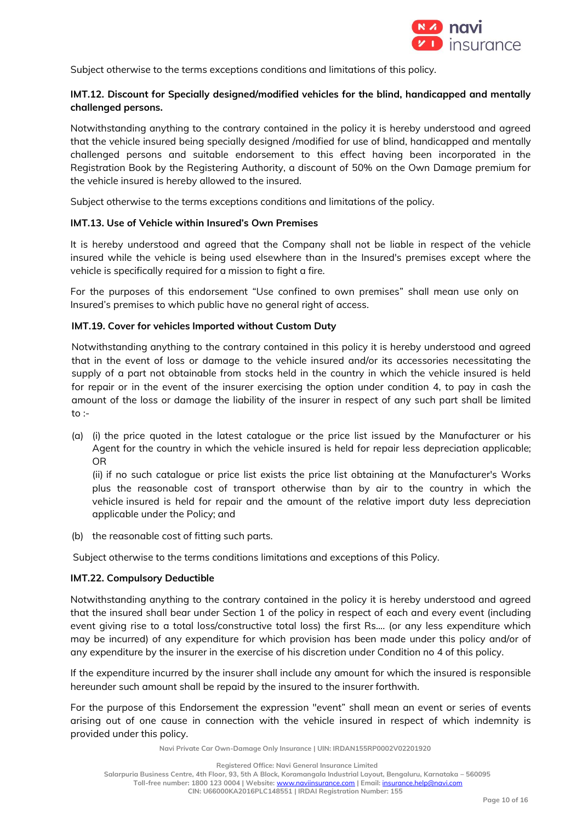

Subject otherwise to the terms exceptions conditions and limitations of this policy.

## **IMT.12. Discount for Specially designed/modified vehicles for the blind, handicapped and mentally challenged persons.**

Notwithstanding anything to the contrary contained in the policy it is hereby understood and agreed that the vehicle insured being specially designed /modified for use of blind, handicapped and mentally challenged persons and suitable endorsement to this effect having been incorporated in the Registration Book by the Registering Authority, a discount of 50% on the Own Damage premium for the vehicle insured is hereby allowed to the insured.

Subject otherwise to the terms exceptions conditions and limitations of the policy.

## **IMT.13. Use of Vehicle within Insured's Own Premises**

It is hereby understood and agreed that the Company shall not be liable in respect of the vehicle insured while the vehicle is being used elsewhere than in the Insured's premises except where the vehicle is specifically required for a mission to fight a fire.

For the purposes of this endorsement "Use confined to own premises" shall mean use only on Insured's premises to which public have no general right of access.

## **IMT.19. Cover for vehicles Imported without Custom Duty**

Notwithstanding anything to the contrary contained in this policy it is hereby understood and agreed that in the event of loss or damage to the vehicle insured and/or its accessories necessitating the supply of a part not obtainable from stocks held in the country in which the vehicle insured is held for repair or in the event of the insurer exercising the option under condition 4, to pay in cash the amount of the loss or damage the liability of the insurer in respect of any such part shall be limited to :-

(a) (i) the price quoted in the latest catalogue or the price list issued by the Manufacturer or his Agent for the country in which the vehicle insured is held for repair less depreciation applicable; OR

(ii) if no such catalogue or price list exists the price list obtaining at the Manufacturer's Works plus the reasonable cost of transport otherwise than by air to the country in which the vehicle insured is held for repair and the amount of the relative import duty less depreciation applicable under the Policy; and

(b) the reasonable cost of fitting such parts.

Subject otherwise to the terms conditions limitations and exceptions of this Policy.

#### **IMT.22. Compulsory Deductible**

Notwithstanding anything to the contrary contained in the policy it is hereby understood and agreed that the insured shall bear under Section 1 of the policy in respect of each and every event (including event giving rise to a total loss/constructive total loss) the first Rs.... (or any less expenditure which may be incurred) of any expenditure for which provision has been made under this policy and/or of any expenditure by the insurer in the exercise of his discretion under Condition no 4 of this policy.

If the expenditure incurred by the insurer shall include any amount for which the insured is responsible hereunder such amount shall be repaid by the insured to the insurer forthwith.

For the purpose of this Endorsement the expression "event" shall mean an event or series of events arising out of one cause in connection with the vehicle insured in respect of which indemnity is provided under this policy.

**Navi Private Car Own-Damage Only Insurance | UIN: IRDAN155RP0002V02201920**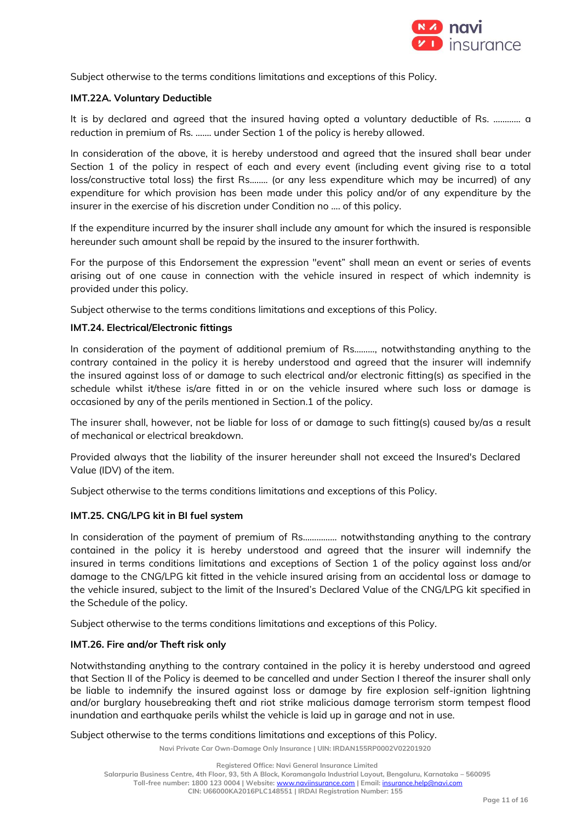

Subject otherwise to the terms conditions limitations and exceptions of this Policy.

## **IMT.22A. Voluntary Deductible**

It is by declared and agreed that the insured having opted a voluntary deductible of Rs. ………… a reduction in premium of Rs. ……. under Section 1 of the policy is hereby allowed.

In consideration of the above, it is hereby understood and agreed that the insured shall bear under Section 1 of the policy in respect of each and every event (including event giving rise to a total loss/constructive total loss) the first Rs.……. (or any less expenditure which may be incurred) of any expenditure for which provision has been made under this policy and/or of any expenditure by the insurer in the exercise of his discretion under Condition no …. of this policy.

If the expenditure incurred by the insurer shall include any amount for which the insured is responsible hereunder such amount shall be repaid by the insured to the insurer forthwith.

For the purpose of this Endorsement the expression "event" shall mean an event or series of events arising out of one cause in connection with the vehicle insured in respect of which indemnity is provided under this policy.

Subject otherwise to the terms conditions limitations and exceptions of this Policy.

## **IMT.24. Electrical/Electronic fittings**

In consideration of the payment of additional premium of Rs………, notwithstanding anything to the contrary contained in the policy it is hereby understood and agreed that the insurer will indemnify the insured against loss of or damage to such electrical and/or electronic fitting(s) as specified in the schedule whilst it/these is/are fitted in or on the vehicle insured where such loss or damage is occasioned by any of the perils mentioned in Section.1 of the policy.

The insurer shall, however, not be liable for loss of or damage to such fitting(s) caused by/as a result of mechanical or electrical breakdown.

Provided always that the liability of the insurer hereunder shall not exceed the Insured's Declared Value (IDV) of the item.

Subject otherwise to the terms conditions limitations and exceptions of this Policy.

## **IMT.25. CNG/LPG kit in BI fuel system**

In consideration of the payment of premium of Rs…………… notwithstanding anything to the contrary contained in the policy it is hereby understood and agreed that the insurer will indemnify the insured in terms conditions limitations and exceptions of Section 1 of the policy against loss and/or damage to the CNG/LPG kit fitted in the vehicle insured arising from an accidental loss or damage to the vehicle insured, subject to the limit of the Insured's Declared Value of the CNG/LPG kit specified in the Schedule of the policy.

Subject otherwise to the terms conditions limitations and exceptions of this Policy.

## **IMT.26. Fire and/or Theft risk only**

Notwithstanding anything to the contrary contained in the policy it is hereby understood and agreed that Section II of the Policy is deemed to be cancelled and under Section I thereof the insurer shall only be liable to indemnify the insured against loss or damage by fire explosion self-ignition lightning and/or burglary housebreaking theft and riot strike malicious damage terrorism storm tempest flood inundation and earthquake perils whilst the vehicle is laid up in garage and not in use.

Subject otherwise to the terms conditions limitations and exceptions of this Policy.

**Navi Private Car Own-Damage Only Insurance | UIN: IRDAN155RP0002V02201920**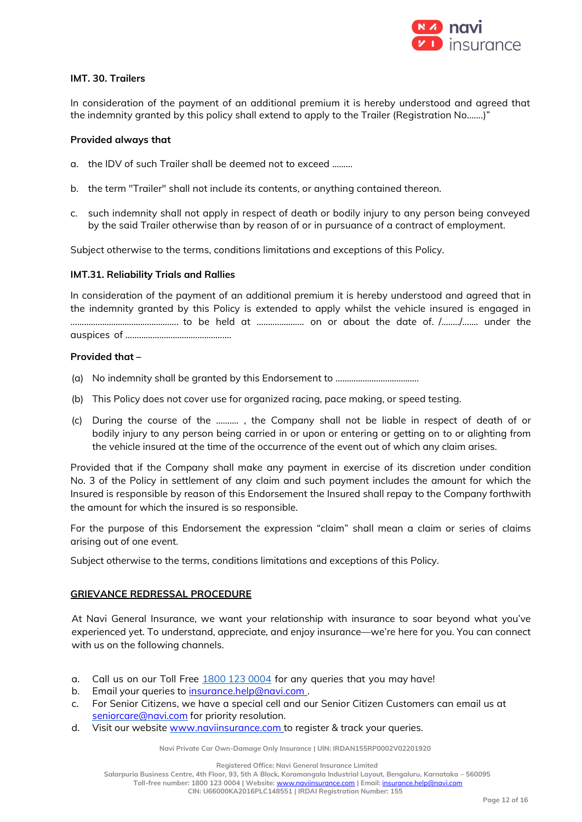

## **IMT. 30. Trailers**

In consideration of the payment of an additional premium it is hereby understood and agreed that the indemnity granted by this policy shall extend to apply to the Trailer (Registration No.......)"

#### **Provided always that**

- a. the IDV of such Trailer shall be deemed not to exceed ………
- b. the term "Trailer" shall not include its contents, or anything contained thereon.
- c. such indemnity shall not apply in respect of death or bodily injury to any person being conveyed by the said Trailer otherwise than by reason of or in pursuance of a contract of employment.

Subject otherwise to the terms, conditions limitations and exceptions of this Policy.

#### **IMT.31. Reliability Trials and Rallies**

In consideration of the payment of an additional premium it is hereby understood and agreed that in the indemnity granted by this Policy is extended to apply whilst the vehicle insured is engaged in ………………………………..………. to be held at ………………… on or about the date of. /……../……. under the auspices of …………………………….………….

## **Provided that –**

- (a) No indemnity shall be granted by this Endorsement to ……………………………….
- (b) This Policy does not cover use for organized racing, pace making, or speed testing.
- (c) During the course of the ………. , the Company shall not be liable in respect of death of or bodily injury to any person being carried in or upon or entering or getting on to or alighting from the vehicle insured at the time of the occurrence of the event out of which any claim arises.

Provided that if the Company shall make any payment in exercise of its discretion under condition No. 3 of the Policy in settlement of any claim and such payment includes the amount for which the Insured is responsible by reason of this Endorsement the Insured shall repay to the Company forthwith the amount for which the insured is so responsible.

For the purpose of this Endorsement the expression "claim" shall mean a claim or series of claims arising out of one event.

Subject otherwise to the terms, conditions limitations and exceptions of this Policy.

#### **GRIEVANCE REDRESSAL PROCEDURE**

At Navi General Insurance, we want your relationship with insurance to soar beyond what you've experienced yet. To understand, appreciate, and enjoy insurance—we're here for you. You can connect with us on the following channels.

- a. Call us on our Toll Free 1800 123 0004 for any queries that you may have!
- b. Email your queries to insurance.help@navi.com.
- c. For Senior Citizens, we have a special cell and our Senior Citizen Customers can email us at [seniorcare@navi.com](mailto:seniorcare@navi.com)</u> for priority resolution.
- d. Visit our website www.naviinsurance.com to register & track your queries.

**Navi Private Car Own-Damage Only Insurance | UIN: IRDAN155RP0002V02201920**

**Registered Office: Navi General Insurance Limited**

**Salarpuria Business Centre, 4th Floor, 93, 5th A Block, Koramangala Industrial Layout, Bengaluru, Karnataka – 560095**

**Toll-free number: 1800 123 0004 | Website:** [www.naviinsurance.com](http://www.naviinsurance.com/) **| Email:** [insurance.help@navi.com](mailto:insurance.help@navi.com)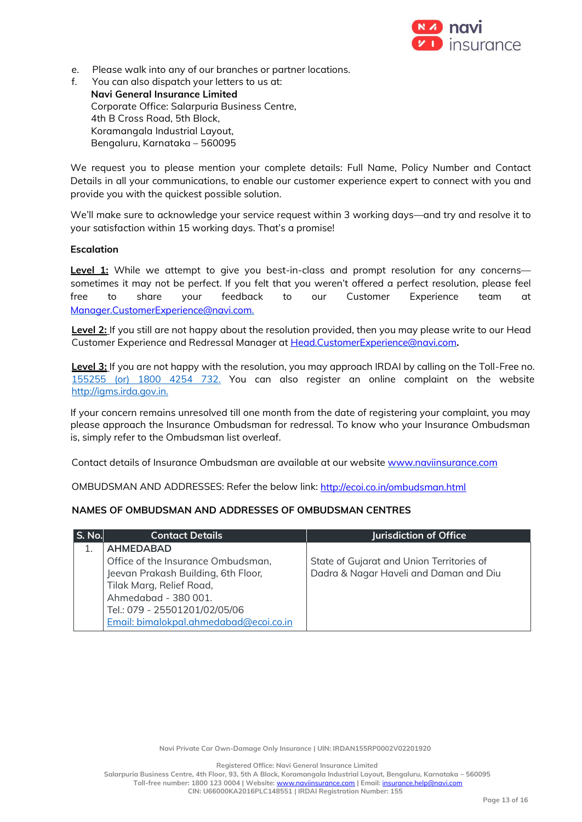

- e. Please walk into any of our branches or partner locations.
- f. You can also dispatch your letters to us at: **Navi General Insurance Limited** Corporate Office: Salarpuria Business Centre, 4th B Cross Road, 5th Block, Koramangala Industrial Layout, Bengaluru, Karnataka – 560095

We request you to please mention your complete details: Full Name, Policy Number and Contact Details in all your communications, to enable our customer experience expert to connect with you and provide you with the quickest possible solution.

We'll make sure to acknowledge your service request within 3 working days—and try and resolve it to your satisfaction within 15 working days. That's a promise!

## **Escalation**

**Level 1:** While we attempt to give you best-in-class and prompt resolution for any concerns sometimes it may not be perfect. If you felt that you weren't offered a perfect resolution, please feel free to share your feedback to our Customer Experience team at [Manager.CustomerExperience@navi.com.](mailto:Manager.CustomerExperience@navi.com)

Level 2: If you still are not happy about the resolution provided, then you may please write to our Head Customer Experience and Redressal Manager at [Head.CustomerExperience@navi.com](mailto:Head.CustomerExperience@navi.com)**.**

**Level 3:** If you are not happy with the resolution, you may approach IRDAI by calling on the Toll-Free no. 155255 (or) 1800 4254 732. You can also register an online complaint on the website [http://igms.irda.gov.in.](http://igms.irda.gov.in/)

If your concern remains unresolved till one month from the date of registering your complaint, you may please approach the Insurance Ombudsman for redressal. To know who your Insurance Ombudsman is, simply refer to the Ombudsman list overleaf.

Contact details of Insurance Ombudsman are available at our website [www.naviinsurance.com](http://www.naviinsurance.com/)

OMBUDSMAN AND ADDRESSES: Refer the below link:<http://ecoi.co.in/ombudsman.html>

## **NAMES OF OMBUDSMAN AND ADDRESSES OF OMBUDSMAN CENTRES**

| <b>S. No.</b> | <b>Contact Details</b>                 | Jurisdiction of Office                    |
|---------------|----------------------------------------|-------------------------------------------|
|               | <b>AHMEDABAD</b>                       |                                           |
|               | Office of the Insurance Ombudsman,     | State of Gujarat and Union Territories of |
|               | Jeevan Prakash Building, 6th Floor,    | Dadra & Nagar Haveli and Daman and Diu    |
|               | Tilak Marg, Relief Road,               |                                           |
|               | Ahmedabad - 380 001.                   |                                           |
|               | Tel.: 079 - 25501201/02/05/06          |                                           |
|               | Email: bimalokpal.ahmedabad@ecoi.co.in |                                           |

**Navi Private Car Own-Damage Only Insurance | UIN: IRDAN155RP0002V02201920**

**Registered Office: Navi General Insurance Limited**

**Salarpuria Business Centre, 4th Floor, 93, 5th A Block, Koramangala Industrial Layout, Bengaluru, Karnataka – 560095 Toll-free number: 1800 123 0004 | Website:** [www.naviinsurance.com](http://www.naviinsurance.com/) **| Email:** [insurance.help@navi.com](mailto:insurance.help@navi.com)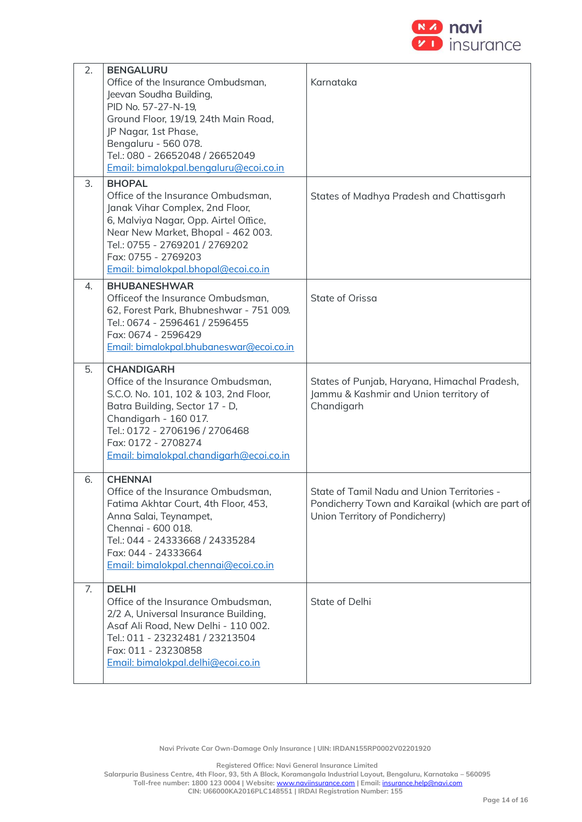

| 2. | <b>BENGALURU</b><br>Office of the Insurance Ombudsman,<br>Jeevan Soudha Building,<br>PID No. 57-27-N-19,<br>Ground Floor, 19/19, 24th Main Road,<br>JP Nagar, 1st Phase,<br>Bengaluru - 560 078.<br>Tel.: 080 - 26652048 / 26652049<br>Email: bimalokpal.bengaluru@ecoi.co.in | Karnataka                                                                                                                          |
|----|-------------------------------------------------------------------------------------------------------------------------------------------------------------------------------------------------------------------------------------------------------------------------------|------------------------------------------------------------------------------------------------------------------------------------|
| 3. | <b>BHOPAL</b><br>Office of the Insurance Ombudsman,<br>Janak Vihar Complex, 2nd Floor,<br>6, Malviya Nagar, Opp. Airtel Office,<br>Near New Market, Bhopal - 462 003.<br>Tel.: 0755 - 2769201 / 2769202<br>Fax: 0755 - 2769203<br>Email: bimalokpal.bhopal@ecoi.co.in         | States of Madhya Pradesh and Chattisgarh                                                                                           |
| 4. | <b>BHUBANESHWAR</b><br>Officeof the Insurance Ombudsman,<br>62, Forest Park, Bhubneshwar - 751 009.<br>Tel.: 0674 - 2596461 / 2596455<br>Fax: 0674 - 2596429<br>Email: bimalokpal.bhubaneswar@ecoi.co.in                                                                      | State of Orissa                                                                                                                    |
| 5. | <b>CHANDIGARH</b><br>Office of the Insurance Ombudsman,<br>S.C.O. No. 101, 102 & 103, 2nd Floor,<br>Batra Building, Sector 17 - D,<br>Chandigarh - 160 017.<br>Tel.: 0172 - 2706196 / 2706468<br>Fax: 0172 - 2708274<br>Email: bimalokpal.chandigarh@ecoi.co.in               | States of Punjab, Haryana, Himachal Pradesh,<br>Jammu & Kashmir and Union territory of<br>Chandigarh                               |
| 6. | <b>CHENNAI</b><br>Office of the Insurance Ombudsman,<br>Fatima Akhtar Court, 4th Floor, 453,<br>Anna Salai, Teynampet,<br>Chennai - 600 018.<br>Tel.: 044 - 24333668 / 24335284<br>Fax: 044 - 24333664<br>Email: bimalokpal.chennai@ecoi.co.in                                | State of Tamil Nadu and Union Territories -<br>Pondicherry Town and Karaikal (which are part of<br>Union Territory of Pondicherry) |
| 7. | <b>DELHI</b><br>Office of the Insurance Ombudsman,<br>2/2 A, Universal Insurance Building,<br>Asaf Ali Road, New Delhi - 110 002.<br>Tel.: 011 - 23232481 / 23213504<br>Fax: 011 - 23230858<br>Email: bimalokpal.delhi@ecoi.co.in                                             | State of Delhi                                                                                                                     |

**Navi Private Car Own-Damage Only Insurance | UIN: IRDAN155RP0002V02201920**

**Registered Office: Navi General Insurance Limited**

**Salarpuria Business Centre, 4th Floor, 93, 5th A Block, Koramangala Industrial Layout, Bengaluru, Karnataka – 560095 Toll-free number: 1800 123 0004 | Website:** [www.naviinsurance.com](http://www.naviinsurance.com/) **| Email:** [insurance.help@navi.com](mailto:insurance.help@navi.com)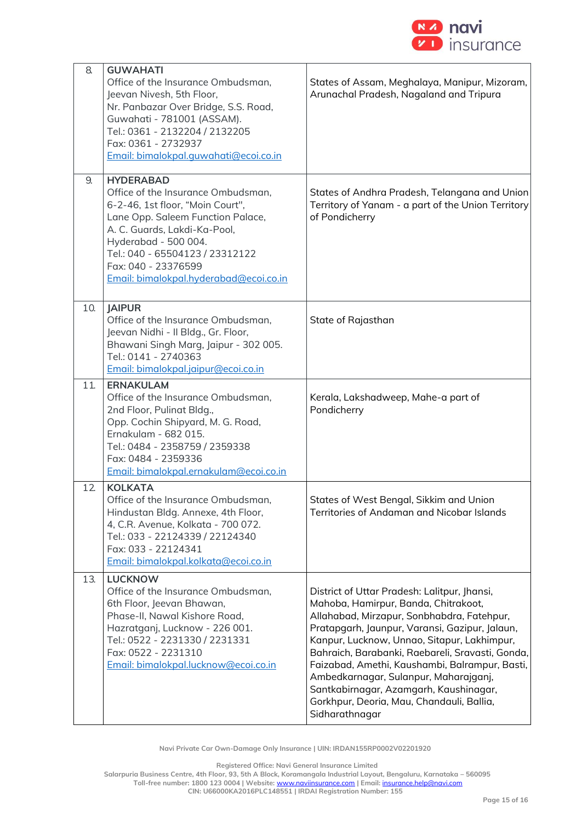

| 8.  | <b>GUWAHATI</b><br>Office of the Insurance Ombudsman,<br>Jeevan Nivesh, 5th Floor,<br>Nr. Panbazar Over Bridge, S.S. Road,<br>Guwahati - 781001 (ASSAM).<br>Tel.: 0361 - 2132204 / 2132205<br>Fax: 0361 - 2732937<br>Email: bimalokpal.quwahati@ecoi.co.in                                  | States of Assam, Meghalaya, Manipur, Mizoram,<br>Arunachal Pradesh, Nagaland and Tripura                                                                                                                                                                                                                                                                                                                                                                                                    |
|-----|---------------------------------------------------------------------------------------------------------------------------------------------------------------------------------------------------------------------------------------------------------------------------------------------|---------------------------------------------------------------------------------------------------------------------------------------------------------------------------------------------------------------------------------------------------------------------------------------------------------------------------------------------------------------------------------------------------------------------------------------------------------------------------------------------|
| 9.  | <b>HYDERABAD</b><br>Office of the Insurance Ombudsman,<br>6-2-46, 1st floor, "Moin Court",<br>Lane Opp. Saleem Function Palace,<br>A. C. Guards, Lakdi-Ka-Pool,<br>Hyderabad - 500 004.<br>Tel.: 040 - 65504123 / 23312122<br>Fax: 040 - 23376599<br>Email: bimalokpal.hyderabad@ecoi.co.in | States of Andhra Pradesh, Telangana and Union<br>Territory of Yanam - a part of the Union Territory<br>of Pondicherry                                                                                                                                                                                                                                                                                                                                                                       |
| 10. | <b>JAIPUR</b><br>Office of the Insurance Ombudsman,<br>Jeevan Nidhi - Il Bldg., Gr. Floor,<br>Bhawani Singh Marg, Jaipur - 302 005.<br>Tel.: 0141 - 2740363<br>Email: bimalokpal.jaipur@ecoi.co.in                                                                                          | State of Rajasthan                                                                                                                                                                                                                                                                                                                                                                                                                                                                          |
| 11. | <b>ERNAKULAM</b><br>Office of the Insurance Ombudsman,<br>2nd Floor, Pulinat Bldg.,<br>Opp. Cochin Shipyard, M. G. Road,<br>Ernakulam - 682 015.<br>Tel.: 0484 - 2358759 / 2359338<br>Fax: 0484 - 2359336<br>Email: bimalokpal.ernakulam@ecoi.co.in                                         | Kerala, Lakshadweep, Mahe-a part of<br>Pondicherry                                                                                                                                                                                                                                                                                                                                                                                                                                          |
| 12  | <b>KOLKATA</b><br>Office of the Insurance Ombudsman.<br>Hindustan Bldg. Annexe, 4th Floor,<br>4, C.R. Avenue, Kolkata - 700 072.<br>Tel.: 033 - 22124339 / 22124340<br>Fax: 033 - 22124341<br>Email: bimalokpal.kolkata@ecoi.co.in                                                          | States of West Benaal, Sikkim and Union<br>Territories of Andaman and Nicobar Islands                                                                                                                                                                                                                                                                                                                                                                                                       |
| 13. | <b>LUCKNOW</b><br>Office of the Insurance Ombudsman,<br>6th Floor, Jeevan Bhawan,<br>Phase-II, Nawal Kishore Road,<br>Hazratganj, Lucknow - 226 001.<br>Tel.: 0522 - 2231330 / 2231331<br>Fax: 0522 - 2231310<br>Email: bimalokpal.lucknow@ecoi.co.in                                       | District of Uttar Pradesh: Lalitpur, Jhansi,<br>Mahoba, Hamirpur, Banda, Chitrakoot,<br>Allahabad, Mirzapur, Sonbhabdra, Fatehpur,<br>Pratapgarh, Jaunpur, Varansi, Gazipur, Jalaun,<br>Kanpur, Lucknow, Unnao, Sitapur, Lakhimpur,<br>Bahraich, Barabanki, Raebareli, Sravasti, Gonda,<br>Faizabad, Amethi, Kaushambi, Balrampur, Basti,<br>Ambedkarnagar, Sulanpur, Maharajganj,<br>Santkabirnagar, Azamgarh, Kaushinagar,<br>Gorkhpur, Deoria, Mau, Chandauli, Ballia,<br>Sidharathnagar |

**Navi Private Car Own-Damage Only Insurance | UIN: IRDAN155RP0002V02201920**

**Registered Office: Navi General Insurance Limited**

**Salarpuria Business Centre, 4th Floor, 93, 5th A Block, Koramangala Industrial Layout, Bengaluru, Karnataka – 560095 Toll-free number: 1800 123 0004 | Website:** [www.naviinsurance.com](http://www.naviinsurance.com/) **| Email:** [insurance.help@navi.com](mailto:insurance.help@navi.com)